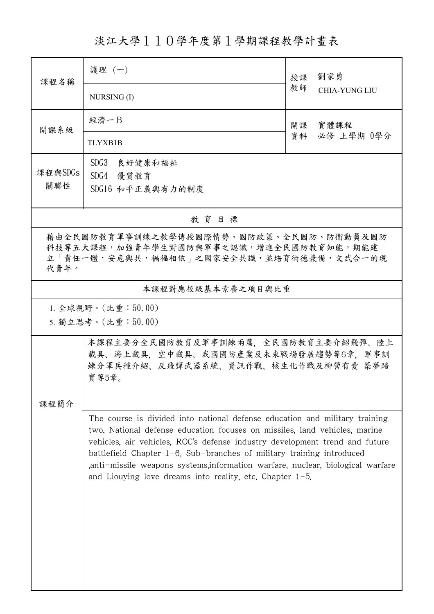淡江大學110學年度第1學期課程教學計畫表

| 課程名稱                                                                                                                                 | 護理 (一)                                                                                                                                                                                                                                                                                                        | 授課 | 劉家勇<br><b>CHIA-YUNG LIU</b> |  |  |  |  |  |
|--------------------------------------------------------------------------------------------------------------------------------------|---------------------------------------------------------------------------------------------------------------------------------------------------------------------------------------------------------------------------------------------------------------------------------------------------------------|----|-----------------------------|--|--|--|--|--|
|                                                                                                                                      | NURSING (I)                                                                                                                                                                                                                                                                                                   | 教師 |                             |  |  |  |  |  |
| 開課系級                                                                                                                                 | 經濟一B                                                                                                                                                                                                                                                                                                          | 開課 | 實體課程<br>必修 上學期 0學分          |  |  |  |  |  |
|                                                                                                                                      | <b>TLYXB1B</b>                                                                                                                                                                                                                                                                                                | 資料 |                             |  |  |  |  |  |
| 課程與SDGs                                                                                                                              | SDG3<br>良好健康和福祉<br>SDG4 優質教育                                                                                                                                                                                                                                                                                  |    |                             |  |  |  |  |  |
| 關聯性                                                                                                                                  | SDG16 和平正義與有力的制度                                                                                                                                                                                                                                                                                              |    |                             |  |  |  |  |  |
| 教育目標                                                                                                                                 |                                                                                                                                                                                                                                                                                                               |    |                             |  |  |  |  |  |
| 藉由全民國防教育軍事訓練之教學傳授國際情勢、國防政策、全民國防、防衛動員及國防<br>科技等五大課程,加強青年學生對國防與軍事之認識,增進全民國防教育知能,期能建<br>立「責任一體,安危與共,禍福相依」之國家安全共識,並培育術德兼備,文武合一的現<br>代青年。 |                                                                                                                                                                                                                                                                                                               |    |                             |  |  |  |  |  |
|                                                                                                                                      | 本課程對應校級基本素養之項目與比重                                                                                                                                                                                                                                                                                             |    |                             |  |  |  |  |  |
| 1. 全球視野。(比重:50.00)<br>5. 獨立思考。(比重:50.00)                                                                                             |                                                                                                                                                                                                                                                                                                               |    |                             |  |  |  |  |  |
|                                                                                                                                      | 本課程主要分全民國防教育及軍事訓練兩篇,全民國防教育主要介紹飛彈、陸上<br>載具、海上載具,空中載具、我國國防產業及未來戰場發展趨勢等6章,軍事訓<br>練分軍兵種介紹、反飛彈武器系統、資訊作戰、核生化作戰及柳營有愛 築夢踏<br>實 等5章。                                                                                                                                                                                   |    |                             |  |  |  |  |  |
| 課程簡介                                                                                                                                 | The course is divided into national defense education and military training<br>two. National defense education focuses on missiles, land vehicles, marine                                                                                                                                                     |    |                             |  |  |  |  |  |
|                                                                                                                                      | vehicles, air vehicles, ROC's defense industry development trend and future<br>battlefield Chapter $1-\theta$ . Sub-branches of military training introduced<br>anti-missile weapons systems, information warfare, nuclear, biological warfare<br>and Liouying love dreams into reality, etc. Chapter $1-5$ . |    |                             |  |  |  |  |  |
|                                                                                                                                      |                                                                                                                                                                                                                                                                                                               |    |                             |  |  |  |  |  |
|                                                                                                                                      |                                                                                                                                                                                                                                                                                                               |    |                             |  |  |  |  |  |
|                                                                                                                                      |                                                                                                                                                                                                                                                                                                               |    |                             |  |  |  |  |  |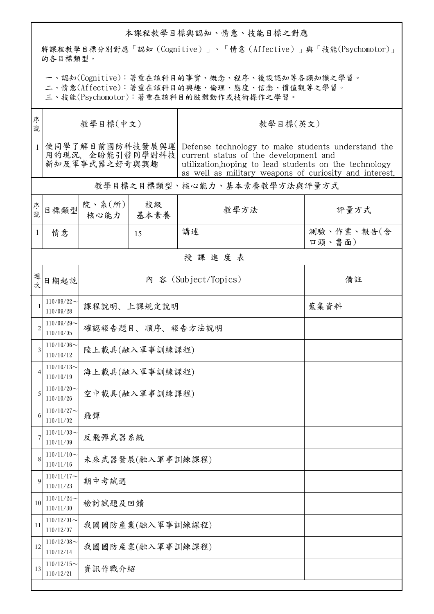## 本課程教學目標與認知、情意、技能目標之對應

將課程教學目標分別對應「認知(Cognitive)」、「情意(Affective)」與「技能(Psychomotor)」 的各目標類型。

一、認知(Cognitive):著重在該科目的事實、概念、程序、後設認知等各類知識之學習。

二、情意(Affective):著重在該科目的興趣、倫理、態度、信念、價值觀等之學習。

三、技能(Psychomotor):著重在該科目的肢體動作或技術操作之學習。

| 序<br>號       | 教學目標(中文)                                             |                  |             | 教學目標(英文)                                                                                                                                                                                                        |                      |  |  |  |  |
|--------------|------------------------------------------------------|------------------|-------------|-----------------------------------------------------------------------------------------------------------------------------------------------------------------------------------------------------------------|----------------------|--|--|--|--|
| $\mathbf{1}$ | 使同學了解目前國防科技發展與運<br>用的現況, 企盼能引發同學對科技<br>新知及軍事武器之好奇與興趣 |                  |             | Defense technology to make students understand the<br>current status of the development and<br>utilization, hoping to lead students on the technology<br>as well as military weapons of curiosity and interest. |                      |  |  |  |  |
|              | 教學目標之目標類型、核心能力、基本素養教學方法與評量方式                         |                  |             |                                                                                                                                                                                                                 |                      |  |  |  |  |
| 序號           | 目標類型                                                 | 院、系(所)<br>核心能力   | 校級<br>基本素養  | 教學方法                                                                                                                                                                                                            | 評量方式                 |  |  |  |  |
| $\mathbf{1}$ | 情意                                                   |                  | 15          | 講述                                                                                                                                                                                                              | 測驗、作業、報告(含<br>口頭、書面) |  |  |  |  |
|              | 授課進度表                                                |                  |             |                                                                                                                                                                                                                 |                      |  |  |  |  |
| 週<br>欤       | 日期起訖                                                 |                  |             | 內 容 (Subject/Topics)                                                                                                                                                                                            | 備註                   |  |  |  |  |
|              | $110/09/22$ ~<br>110/09/28                           |                  | 課程說明、上課規定說明 |                                                                                                                                                                                                                 | 蒐集資料                 |  |  |  |  |
|              | $110/09/29$ ~<br>110/10/05                           | 確認報告題目、順序、報告方法說明 |             |                                                                                                                                                                                                                 |                      |  |  |  |  |
| 3            | $110/10/06$ ~<br>110/10/12                           | 陸上載具(融入軍事訓練課程)   |             |                                                                                                                                                                                                                 |                      |  |  |  |  |
|              | $110/10/13$ ~<br>110/10/19                           | 海上載具(融入軍事訓練課程)   |             |                                                                                                                                                                                                                 |                      |  |  |  |  |
| 5            | $110/10/20$ ~<br>110/10/26                           | 空中載具(融入軍事訓練課程)   |             |                                                                                                                                                                                                                 |                      |  |  |  |  |
|              | $110/10/27$ ~<br>110/11/02                           | 飛彈               |             |                                                                                                                                                                                                                 |                      |  |  |  |  |
| 7            | $110/11/03$ ~<br>110/11/09                           | 反飛彈武器系統          |             |                                                                                                                                                                                                                 |                      |  |  |  |  |
| 8            | $110/11/10$ ~<br>110/11/16                           | 未來武器發展(融入軍事訓練課程) |             |                                                                                                                                                                                                                 |                      |  |  |  |  |
| 9            | $110/11/17$ ~<br>110/11/23                           | 期中考試週            |             |                                                                                                                                                                                                                 |                      |  |  |  |  |
| 10           | $110/11/24$ ~<br>110/11/30                           | 檢討試題及回饋          |             |                                                                                                                                                                                                                 |                      |  |  |  |  |
| 11           | $110/12/01$ ~<br>110/12/07                           | 我國國防產業(融入軍事訓練課程) |             |                                                                                                                                                                                                                 |                      |  |  |  |  |
| 12           | $110/12/08$ ~<br>110/12/14                           | 我國國防產業(融入軍事訓練課程) |             |                                                                                                                                                                                                                 |                      |  |  |  |  |
| 13           | $110/12/15$ ~<br>110/12/21                           | 資訊作戰介紹           |             |                                                                                                                                                                                                                 |                      |  |  |  |  |
|              |                                                      |                  |             |                                                                                                                                                                                                                 |                      |  |  |  |  |